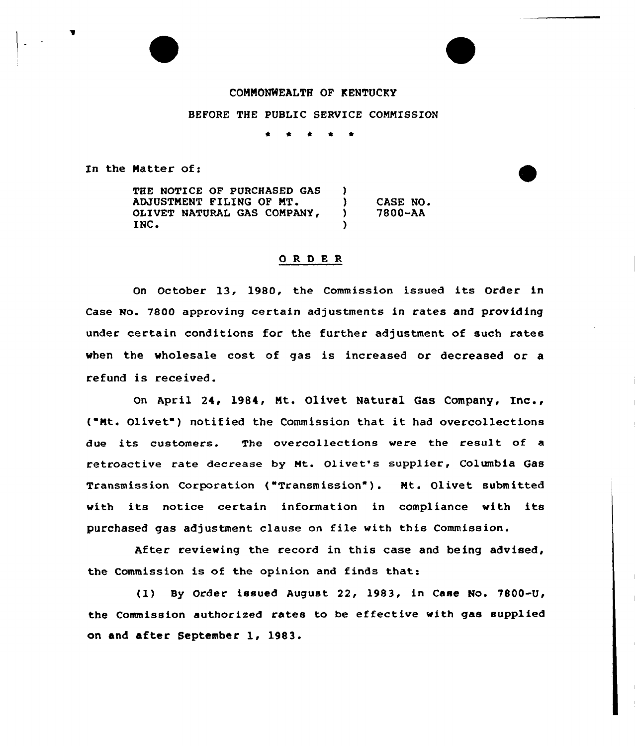## COMMONWEALTH OF KENTUCKY

BEFORE THE PUBLIC SERVICE COMMISSION

In the Matter of:

THE NOTICE OF PURCHASED GAS )<br>) ADJUSTMENT FILING OF MT. ) CASE NO.<br>) 7800-AA OLIVET NATURAL GAS COMPANY, 7800-AA INC. )

## ORDER

On October 13, 1980, the Commission issued its Order in Case No. 7800 approving certain adjustments in rates and providing under certain conditions for the further adjustment of such rates when the wholesale cost of gas is increased or decreased or a refund is received.

On April 24, 1984, Mt. Olivet Natural Gas Company, Inc., ( Mt. Olivet") notified the Commission that it had overcollections due its customers. The overcollections were the result of a retroactive rate decrease by Mt. Olivet's supplier, Columbia Gas Transmission Corporation ("Transmission" ). Mt. Olivet submitted with its notice certain information in compliance with its purchased gas adjustment clause on file with this Commission.

After reviewing the record in this case and being advised, the Commission is of the opinion and finds that:

(1) By Order issued August 22, 1983, in Case No. 7800-U the Commission authorised rates to be effective with gas supplied on and after September 1, 1983.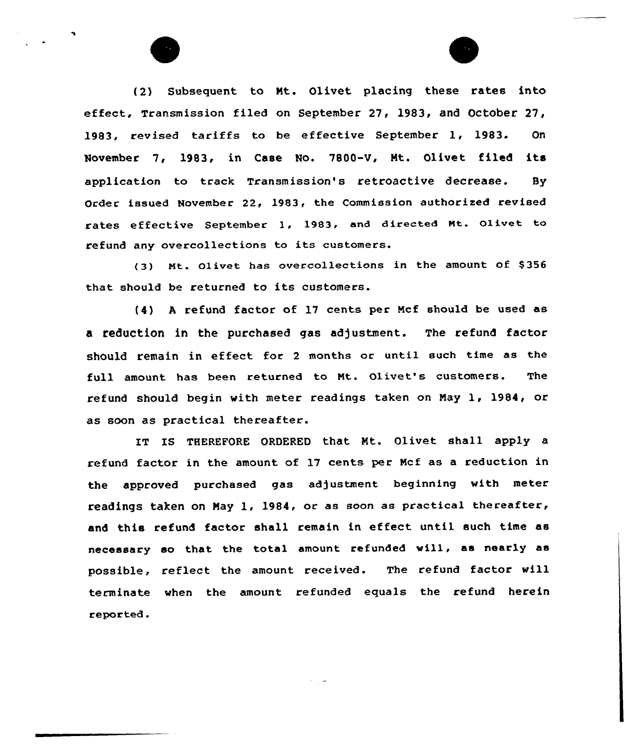(2) Subsequent to Mt. Olivet placing these rates into effect, Transmission filed on September 27, 1983, and October 27, 1983, revised tariffs to be effective September 1, 1983. On November 7, 1983, in Case No. 7800-V, Nt. Olivet filed its application to track Transmission's retroactive decrease. By Order issued November 22, 1983, the Commission authorized revised rates effective September l, 1983, and directed Nt. Olivet to refund any overcollections to its customers.

(3) Mt. Olivet has overcollections in the amount of \$356 that should be returned to its customers.

(4) <sup>A</sup> refund factor of 17 cents per Ncf should be used as a reduction in the purchased gas adjustment. The refund factor should remain in effect for <sup>2</sup> months or until such time as the full amount has been returned to Mt. Olivet's customers. The refund should begin with meter readings taken on Nay 1, 1984, or as soon as practical thereafter.

IT IS THEREFORE ORDERED that Mt. Olivet shall apply a refund factor in the amount of 17 cents per Ncf as a reduction in the approved purchased gas adjustment beginning with meter readings taken on May 1, 1984, or as soon as practical thereafter, and this refund factor shall remain in effect until such time as necessary so that the total amount refunded will, as nearly as possible, reflect the amount received. The refund factor will terminate when the amount refunded equals the refund herein reported.